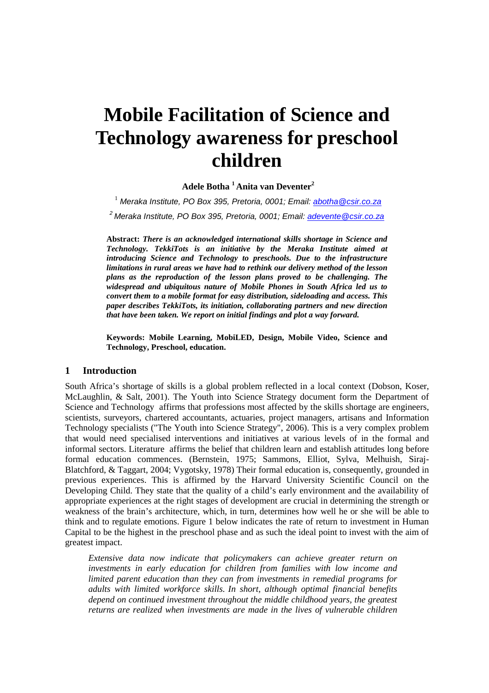# **Mobile Facilitation of Science and Technology awareness for preschool children**

 **Adele Botha <sup>1</sup>Anita van Deventer<sup>2</sup>**

<sup>1</sup> Meraka Institute, PO Box 395, Pretoria, 0001; Email: <u>abotha@csir.co.za</u>  $2^2$  Meraka Institute, PO Box 395, Pretoria, 0001; Email: adevente@csir.co.za

**Abstract:** *There is an acknowledged international skills shortage in Science and Technology. TekkiTots is an initiative by the Meraka Institute aimed at introducing Science and Technology to preschools. Due to the infrastructure limitations in rural areas we have had to rethink our delivery method of the lesson plans as the reproduction of the lesson plans proved to be challenging. The widespread and ubiquitous nature of Mobile Phones in South Africa led us to convert them to a mobile format for easy distribution, sideloading and access. This paper describes TekkiTots, its initiation, collaborating partners and new direction that have been taken. We report on initial findings and plot a way forward.* 

**Keywords: Mobile Learning, MobiLED, Design, Mobile Video, Science and Technology, Preschool, education.** 

## **1 Introduction**

South Africa's shortage of skills is a global problem reflected in a local context (Dobson, Koser, McLaughlin, & Salt, 2001). The Youth into Science Strategy document form the Department of Science and Technology affirms that professions most affected by the skills shortage are engineers, scientists, surveyors, chartered accountants, actuaries, project managers, artisans and Information Technology specialists ("The Youth into Science Strategy", 2006). This is a very complex problem that would need specialised interventions and initiatives at various levels of in the formal and informal sectors. Literature affirms the belief that children learn and establish attitudes long before formal education commences. (Bernstein, 1975; Sammons, Elliot, Sylva, Melhuish, Siraj-Blatchford, & Taggart, 2004; Vygotsky, 1978) Their formal education is, consequently, grounded in previous experiences. This is affirmed by the Harvard University Scientific Council on the Developing Child. They state that the quality of a child's early environment and the availability of appropriate experiences at the right stages of development are crucial in determining the strength or weakness of the brain's architecture, which, in turn, determines how well he or she will be able to think and to regulate emotions. Figure 1 below indicates the rate of return to investment in Human Capital to be the highest in the preschool phase and as such the ideal point to invest with the aim of greatest impact.

*Extensive data now indicate that policymakers can achieve greater return on investments in early education for children from families with low income and limited parent education than they can from investments in remedial programs for adults with limited workforce skills. In short, although optimal financial benefits depend on continued investment throughout the middle childhood years, the greatest returns are realized when investments are made in the lives of vulnerable children*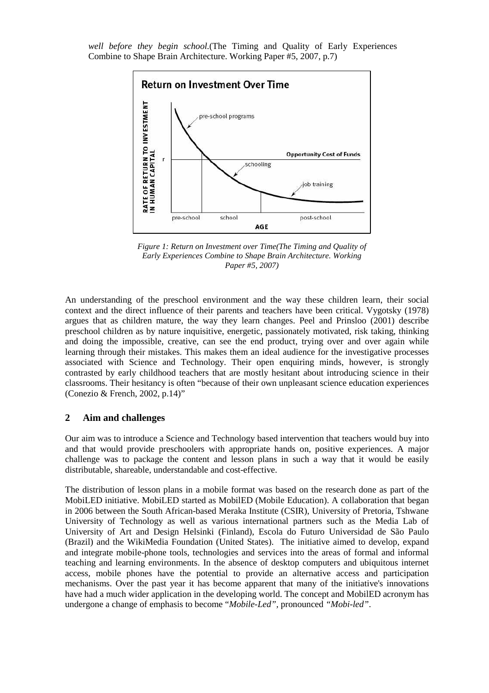*well before they begin school.*(The Timing and Quality of Early Experiences Combine to Shape Brain Architecture. Working Paper #5, 2007, p.7)



*Figure 1: Return on Investment over Time(The Timing and Quality of Early Experiences Combine to Shape Brain Architecture. Working Paper #5, 2007)* 

An understanding of the preschool environment and the way these children learn, their social context and the direct influence of their parents and teachers have been critical. Vygotsky (1978) argues that as children mature, the way they learn changes. Peel and Prinsloo (2001) describe preschool children as by nature inquisitive, energetic, passionately motivated, risk taking, thinking and doing the impossible, creative, can see the end product, trying over and over again while learning through their mistakes. This makes them an ideal audience for the investigative processes associated with Science and Technology. Their open enquiring minds, however, is strongly contrasted by early childhood teachers that are mostly hesitant about introducing science in their classrooms. Their hesitancy is often "because of their own unpleasant science education experiences (Conezio & French, 2002, p.14)"

## **2 Aim and challenges**

Our aim was to introduce a Science and Technology based intervention that teachers would buy into and that would provide preschoolers with appropriate hands on, positive experiences. A major challenge was to package the content and lesson plans in such a way that it would be easily distributable, shareable, understandable and cost-effective.

The distribution of lesson plans in a mobile format was based on the research done as part of the MobiLED initiative. MobiLED started as MobilED (Mobile Education). A collaboration that began in 2006 between the South African-based Meraka Institute (CSIR), University of Pretoria, Tshwane University of Technology as well as various international partners such as the Media Lab of University of Art and Design Helsinki (Finland), Escola do Futuro Universidad de São Paulo (Brazil) and the WikiMedia Foundation (United States). The initiative aimed to develop, expand and integrate mobile-phone tools, technologies and services into the areas of formal and informal teaching and learning environments. In the absence of desktop computers and ubiquitous internet access, mobile phones have the potential to provide an alternative access and participation mechanisms. Over the past year it has become apparent that many of the initiative's innovations have had a much wider application in the developing world. The concept and MobilED acronym has undergone a change of emphasis to become "*Mobile-Led",* pronounced *"Mobi-led"*.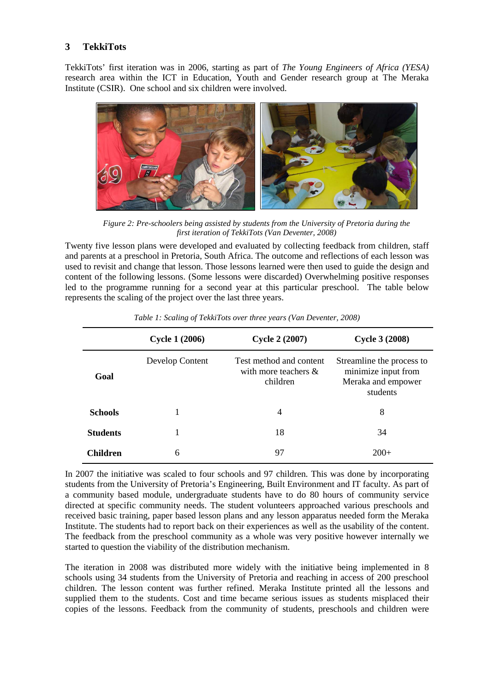## **3 TekkiTots**

TekkiTots' first iteration was in 2006, starting as part of *The Young Engineers of Africa (YESA)* research area within the ICT in Education, Youth and Gender research group at The Meraka Institute (CSIR). One school and six children were involved.



*Figure 2: Pre-schoolers being assisted by students from the University of Pretoria during the first iteration of TekkiTots (Van Deventer, 2008)* 

Twenty five lesson plans were developed and evaluated by collecting feedback from children, staff and parents at a preschool in Pretoria, South Africa. The outcome and reflections of each lesson was used to revisit and change that lesson. Those lessons learned were then used to guide the design and content of the following lessons. (Some lessons were discarded) Overwhelming positive responses led to the programme running for a second year at this particular preschool. The table below represents the scaling of the project over the last three years.

|                 | <b>Cycle 1 (2006)</b> | <b>Cycle 2 (2007)</b>                                          | <b>Cycle 3 (2008)</b>                                                              |
|-----------------|-----------------------|----------------------------------------------------------------|------------------------------------------------------------------------------------|
| Goal            | Develop Content       | Test method and content<br>with more teachers $\&$<br>children | Streamline the process to<br>minimize input from<br>Meraka and empower<br>students |
| <b>Schools</b>  |                       | 4                                                              | 8                                                                                  |
| <b>Students</b> |                       | 18                                                             | 34                                                                                 |
| <b>Children</b> | 6                     | 97                                                             | $200+$                                                                             |

*Table 1: Scaling of TekkiTots over three years (Van Deventer, 2008)* 

In 2007 the initiative was scaled to four schools and 97 children. This was done by incorporating students from the University of Pretoria's Engineering, Built Environment and IT faculty. As part of a community based module, undergraduate students have to do 80 hours of community service directed at specific community needs. The student volunteers approached various preschools and received basic training, paper based lesson plans and any lesson apparatus needed form the Meraka Institute. The students had to report back on their experiences as well as the usability of the content. The feedback from the preschool community as a whole was very positive however internally we started to question the viability of the distribution mechanism.

The iteration in 2008 was distributed more widely with the initiative being implemented in 8 schools using 34 students from the University of Pretoria and reaching in access of 200 preschool children. The lesson content was further refined. Meraka Institute printed all the lessons and supplied them to the students. Cost and time became serious issues as students misplaced their copies of the lessons. Feedback from the community of students, preschools and children were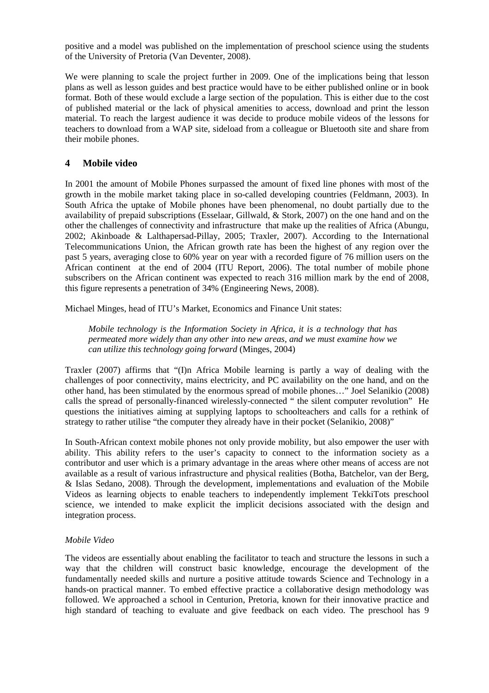positive and a model was published on the implementation of preschool science using the students of the University of Pretoria (Van Deventer, 2008).

We were planning to scale the project further in 2009. One of the implications being that lesson plans as well as lesson guides and best practice would have to be either published online or in book format. Both of these would exclude a large section of the population. This is either due to the cost of published material or the lack of physical amenities to access, download and print the lesson material. To reach the largest audience it was decide to produce mobile videos of the lessons for teachers to download from a WAP site, sideload from a colleague or Bluetooth site and share from their mobile phones.

## **4 Mobile video**

In 2001 the amount of Mobile Phones surpassed the amount of fixed line phones with most of the growth in the mobile market taking place in so-called developing countries (Feldmann, 2003). In South Africa the uptake of Mobile phones have been phenomenal, no doubt partially due to the availability of prepaid subscriptions (Esselaar, Gillwald, & Stork, 2007) on the one hand and on the other the challenges of connectivity and infrastructure that make up the realities of Africa (Abungu, 2002; Akinboade & Lalthapersad-Pillay, 2005; Traxler, 2007). According to the International Telecommunications Union, the African growth rate has been the highest of any region over the past 5 years, averaging close to 60% year on year with a recorded figure of 76 million users on the African continent at the end of 2004 (ITU Report, 2006). The total number of mobile phone subscribers on the African continent was expected to reach 316 million mark by the end of 2008, this figure represents a penetration of 34% (Engineering News, 2008).

Michael Minges, head of ITU's Market, Economics and Finance Unit states:

*Mobile technology is the Information Society in Africa, it is a technology that has permeated more widely than any other into new areas, and we must examine how we can utilize this technology going forward* (Minges, 2004)

Traxler (2007) affirms that "(I)n Africa Mobile learning is partly a way of dealing with the challenges of poor connectivity, mains electricity, and PC availability on the one hand, and on the other hand, has been stimulated by the enormous spread of mobile phones…" Joel Selanikio (2008) calls the spread of personally-financed wirelessly-connected " the silent computer revolution" He questions the initiatives aiming at supplying laptops to schoolteachers and calls for a rethink of strategy to rather utilise "the computer they already have in their pocket (Selanikio, 2008)"

In South-African context mobile phones not only provide mobility, but also empower the user with ability. This ability refers to the user's capacity to connect to the information society as a contributor and user which is a primary advantage in the areas where other means of access are not available as a result of various infrastructure and physical realities (Botha, Batchelor, van der Berg, & Islas Sedano, 2008). Through the development, implementations and evaluation of the Mobile Videos as learning objects to enable teachers to independently implement TekkiTots preschool science, we intended to make explicit the implicit decisions associated with the design and integration process.

## *Mobile Video*

The videos are essentially about enabling the facilitator to teach and structure the lessons in such a way that the children will construct basic knowledge, encourage the development of the fundamentally needed skills and nurture a positive attitude towards Science and Technology in a hands-on practical manner. To embed effective practice a collaborative design methodology was followed. We approached a school in Centurion, Pretoria, known for their innovative practice and high standard of teaching to evaluate and give feedback on each video. The preschool has 9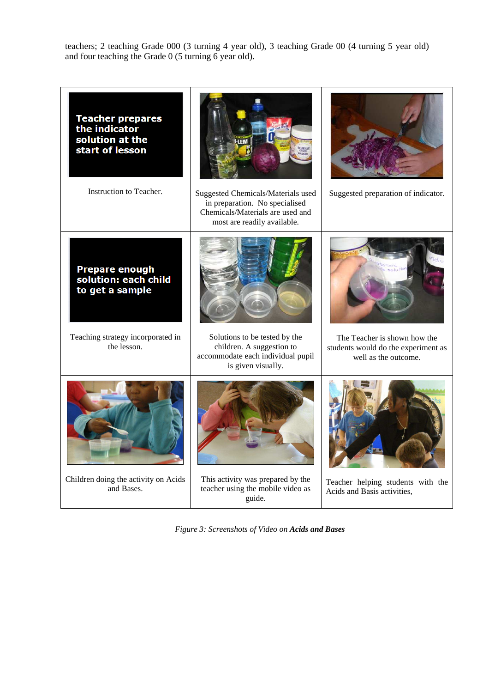teachers; 2 teaching Grade 000 (3 turning 4 year old), 3 teaching Grade 00 (4 turning 5 year old) and four teaching the Grade 0 (5 turning 6 year old).



*Figure 3: Screenshots of Video on Acids and Bases*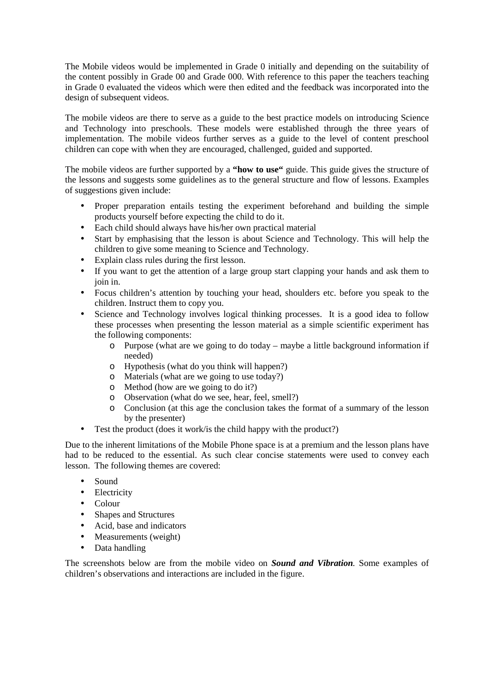The Mobile videos would be implemented in Grade 0 initially and depending on the suitability of the content possibly in Grade 00 and Grade 000. With reference to this paper the teachers teaching in Grade 0 evaluated the videos which were then edited and the feedback was incorporated into the design of subsequent videos.

The mobile videos are there to serve as a guide to the best practice models on introducing Science and Technology into preschools. These models were established through the three years of implementation. The mobile videos further serves as a guide to the level of content preschool children can cope with when they are encouraged, challenged, guided and supported.

The mobile videos are further supported by a **"how to use"** guide. This guide gives the structure of the lessons and suggests some guidelines as to the general structure and flow of lessons. Examples of suggestions given include:

- Proper preparation entails testing the experiment beforehand and building the simple products yourself before expecting the child to do it.
- Each child should always have his/her own practical material
- Start by emphasising that the lesson is about Science and Technology. This will help the children to give some meaning to Science and Technology.
- Explain class rules during the first lesson.
- If you want to get the attention of a large group start clapping your hands and ask them to join in.
- Focus children's attention by touching your head, shoulders etc. before you speak to the children. Instruct them to copy you.
- Science and Technology involves logical thinking processes. It is a good idea to follow these processes when presenting the lesson material as a simple scientific experiment has the following components:
	- o Purpose (what are we going to do today maybe a little background information if needed)
	- o Hypothesis (what do you think will happen?)
	- o Materials (what are we going to use today?)
	- o Method (how are we going to do it?)
	- o Observation (what do we see, hear, feel, smell?)
	- o Conclusion (at this age the conclusion takes the format of a summary of the lesson by the presenter)
- Test the product (does it work/ is the child happy with the product?)

Due to the inherent limitations of the Mobile Phone space is at a premium and the lesson plans have had to be reduced to the essential. As such clear concise statements were used to convey each lesson. The following themes are covered:

- Sound
- Electricity
- Colour
- Shapes and Structures
- Acid, base and indicators
- Measurements (weight)
- Data handling

The screenshots below are from the mobile video on *Sound and Vibration.* Some examples of children's observations and interactions are included in the figure.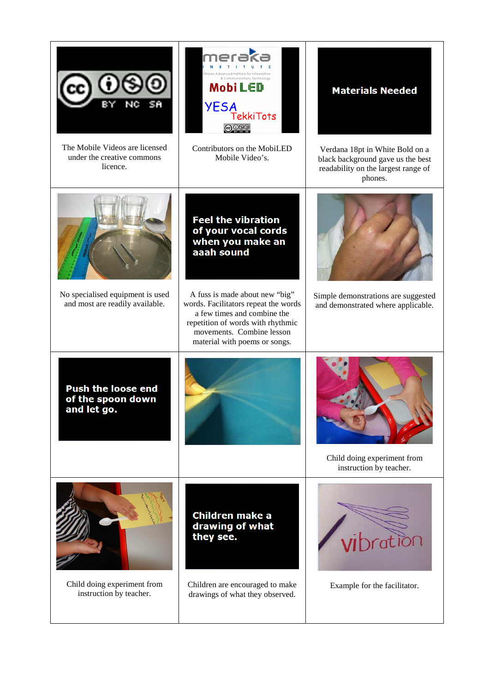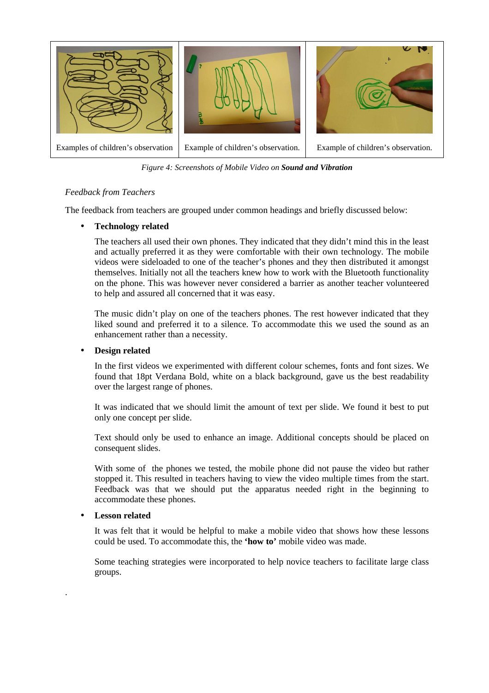

*Figure 4: Screenshots of Mobile Video on Sound and Vibration*

## *Feedback from Teachers*

The feedback from teachers are grouped under common headings and briefly discussed below:

## • **Technology related**

The teachers all used their own phones. They indicated that they didn't mind this in the least and actually preferred it as they were comfortable with their own technology. The mobile videos were sideloaded to one of the teacher's phones and they then distributed it amongst themselves. Initially not all the teachers knew how to work with the Bluetooth functionality on the phone. This was however never considered a barrier as another teacher volunteered to help and assured all concerned that it was easy.

The music didn't play on one of the teachers phones. The rest however indicated that they liked sound and preferred it to a silence. To accommodate this we used the sound as an enhancement rather than a necessity.

## • **Design related**

In the first videos we experimented with different colour schemes, fonts and font sizes. We found that 18pt Verdana Bold, white on a black background, gave us the best readability over the largest range of phones.

It was indicated that we should limit the amount of text per slide. We found it best to put only one concept per slide.

Text should only be used to enhance an image. Additional concepts should be placed on consequent slides.

With some of the phones we tested, the mobile phone did not pause the video but rather stopped it. This resulted in teachers having to view the video multiple times from the start. Feedback was that we should put the apparatus needed right in the beginning to accommodate these phones.

## • **Lesson related**

.

It was felt that it would be helpful to make a mobile video that shows how these lessons could be used. To accommodate this, the **'how to'** mobile video was made.

Some teaching strategies were incorporated to help novice teachers to facilitate large class groups.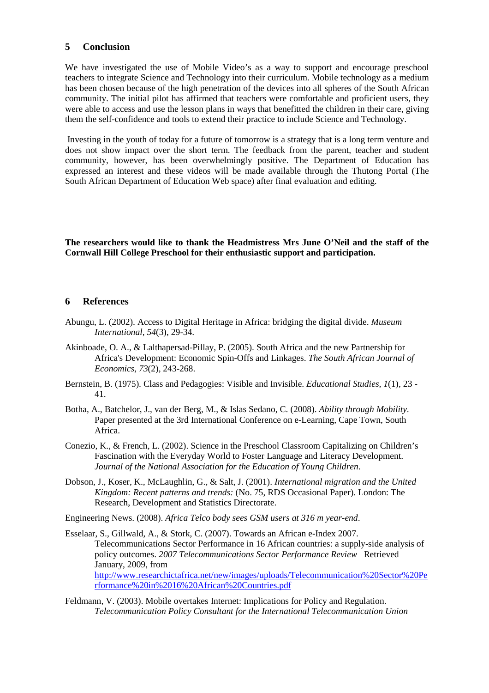## **5 Conclusion**

We have investigated the use of Mobile Video's as a way to support and encourage preschool teachers to integrate Science and Technology into their curriculum. Mobile technology as a medium has been chosen because of the high penetration of the devices into all spheres of the South African community. The initial pilot has affirmed that teachers were comfortable and proficient users, they were able to access and use the lesson plans in ways that benefitted the children in their care, giving them the self-confidence and tools to extend their practice to include Science and Technology.

 Investing in the youth of today for a future of tomorrow is a strategy that is a long term venture and does not show impact over the short term. The feedback from the parent, teacher and student community, however, has been overwhelmingly positive. The Department of Education has expressed an interest and these videos will be made available through the Thutong Portal (The South African Department of Education Web space) after final evaluation and editing.

**The researchers would like to thank the Headmistress Mrs June O'Neil and the staff of the Cornwall Hill College Preschool for their enthusiastic support and participation.** 

#### **6 References**

- Abungu, L. (2002). Access to Digital Heritage in Africa: bridging the digital divide. *Museum International, 54*(3), 29-34.
- Akinboade, O. A., & Lalthapersad-Pillay, P. (2005). South Africa and the new Partnership for Africa's Development: Economic Spin-Offs and Linkages. *The South African Journal of Economics, 73*(2), 243-268.
- Bernstein, B. (1975). Class and Pedagogies: Visible and Invisible. *Educational Studies, 1*(1), 23 41.
- Botha, A., Batchelor, J., van der Berg, M., & Islas Sedano, C. (2008). *Ability through Mobility.* Paper presented at the 3rd International Conference on e-Learning, Cape Town, South Africa.
- Conezio, K., & French, L. (2002). Science in the Preschool Classroom Capitalizing on Children's Fascination with the Everyday World to Foster Language and Literacy Development. *Journal of the National Association for the Education of Young Children*.
- Dobson, J., Koser, K., McLaughlin, G., & Salt, J. (2001). *International migration and the United Kingdom: Recent patterns and trends:* (No. 75, RDS Occasional Paper). London: The Research, Development and Statistics Directorate.

Engineering News. (2008). *Africa Telco body sees GSM users at 316 m year-end*.

- Esselaar, S., Gillwald, A., & Stork, C. (2007). Towards an African e-Index 2007. Telecommunications Sector Performance in 16 African countries: a supply-side analysis of policy outcomes. *2007 Telecommunications Sector Performance Review* Retrieved January, 2009, from http://www.researchictafrica.net/new/images/uploads/Telecommunication%20Sector%20Pe rformance%20in%2016%20African%20Countries.pdf
- Feldmann, V. (2003). Mobile overtakes Internet: Implications for Policy and Regulation. *Telecommunication Policy Consultant for the International Telecommunication Union*